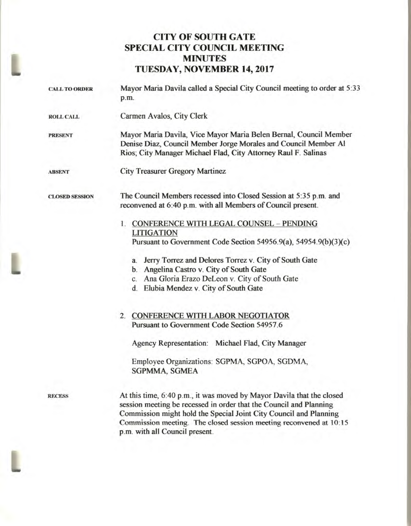## **CITY OF SOUTH GATE SPECIAL CITY COUNCIL MEETING MINUTES TUESDAY, NOVEMBER 14, 2017**

| <b>CALL TO ORDER</b>  | Mayor Maria Davila called a Special City Council meeting to order at 5:33<br>p.m.                                                                                                                                                                                                                                                                                                                                                                                                                                                                        |
|-----------------------|----------------------------------------------------------------------------------------------------------------------------------------------------------------------------------------------------------------------------------------------------------------------------------------------------------------------------------------------------------------------------------------------------------------------------------------------------------------------------------------------------------------------------------------------------------|
| <b>ROLL CALL</b>      | Carmen Avalos, City Clerk                                                                                                                                                                                                                                                                                                                                                                                                                                                                                                                                |
| <b>PRESENT</b>        | Mayor Maria Davila, Vice Mayor Maria Belen Bernal, Council Member<br>Denise Diaz, Council Member Jorge Morales and Council Member Al<br>Rios; City Manager Michael Flad, City Attorney Raul F. Salinas                                                                                                                                                                                                                                                                                                                                                   |
| <b>ABSENT</b>         | <b>City Treasurer Gregory Martinez</b>                                                                                                                                                                                                                                                                                                                                                                                                                                                                                                                   |
| <b>CLOSED SESSION</b> | The Council Members recessed into Closed Session at 5:35 p.m. and<br>reconvened at 6:40 p.m. with all Members of Council present.                                                                                                                                                                                                                                                                                                                                                                                                                        |
|                       | 1. CONFERENCE WITH LEGAL COUNSEL - PENDING<br><b>LITIGATION</b><br>Pursuant to Government Code Section 54956.9(a), 54954.9(b)(3)(c)<br>Jerry Torrez and Delores Torrez v. City of South Gate<br>a.<br>b. Angelina Castro v. City of South Gate<br>c. Ana Gloria Erazo DeLeon v. City of South Gate<br>d. Elubia Mendez v. City of South Gate<br>2. CONFERENCE WITH LABOR NEGOTIATOR<br>Pursuant to Government Code Section 54957.6<br>Agency Representation: Michael Flad, City Manager<br>Employee Organizations: SGPMA, SGPOA, SGDMA,<br>SGPMMA, SGMEA |
| <b>RECESS</b>         | At this time, 6:40 p.m., it was moved by Mayor Davila that the closed<br>session meeting be recessed in order that the Council and Planning<br>Commission might hold the Special Joint City Council and Planning<br>Commission meeting. The closed session meeting reconvened at 10:15                                                                                                                                                                                                                                                                   |

**p.m. with all Council present.** 

L